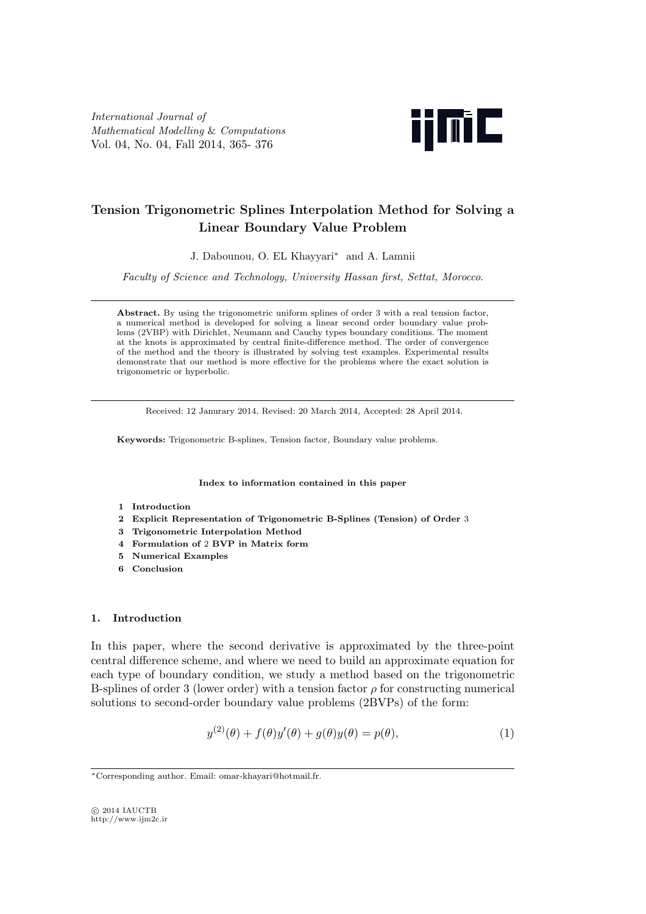*International Journal of Mathematical Modelling* & *Computations* Vol. 04, No. 04, Fall 2014, 365- 376



# **Tension Trigonometric Splines Interpolation Method for Solving a Linear Boundary Value Problem**

J. Dabounou, O. EL Khayyari*<sup>∗</sup>* and A. Lamnii

*Faculty of Science and Technology, University Hassan first, Settat, Morocco*.

**Abstract.** By using the trigonometric uniform splines of order 3 with a real tension factor, a numerical method is developed for solving a linear second order boundary value problems (2VBP) with Dirichlet, Neumann and Cauchy types boundary conditions. The moment at the knots is approximated by central finite-difference method. The order of convergence of the method and the theory is illustrated by solving test examples. Experimental results demonstrate that our method is more effective for the problems where the exact solution is trigonometric or hyperbolic.

Received: 12 Janurary 2014, Revised: 20 March 2014, Accepted: 28 April 2014.

**Keywords:** Trigonometric B-splines, Tension factor, Boundary value problems.

**Index to information contained in this paper**

- **1 Introduction**
- **2 Explicit Representation of Trigonometric B-Splines (Tension) of Order** 3
- **3 Trigonometric Interpolation Method**
- **4 Formulation of** 2 **BVP in Matrix form**
- **5 Numerical Examples**
- **6 Conclusion**

#### **1. Introduction**

In this paper, where the second derivative is approximated by the three-point central difference scheme, and where we need to build an approximate equation for each type of boundary condition, we study a method based on the trigonometric B-splines of order 3 (lower order) with a tension factor *ρ* for constructing numerical solutions to second-order boundary value problems (2BVPs) of the form:

$$
y^{(2)}(\theta) + f(\theta)y'(\theta) + g(\theta)y(\theta) = p(\theta),
$$
\n(1)

*⃝*c 2014 IAUCTB http://www.ijm2c.ir

*<sup>∗</sup>*Corresponding author. Email: omar-khayari@hotmail.fr.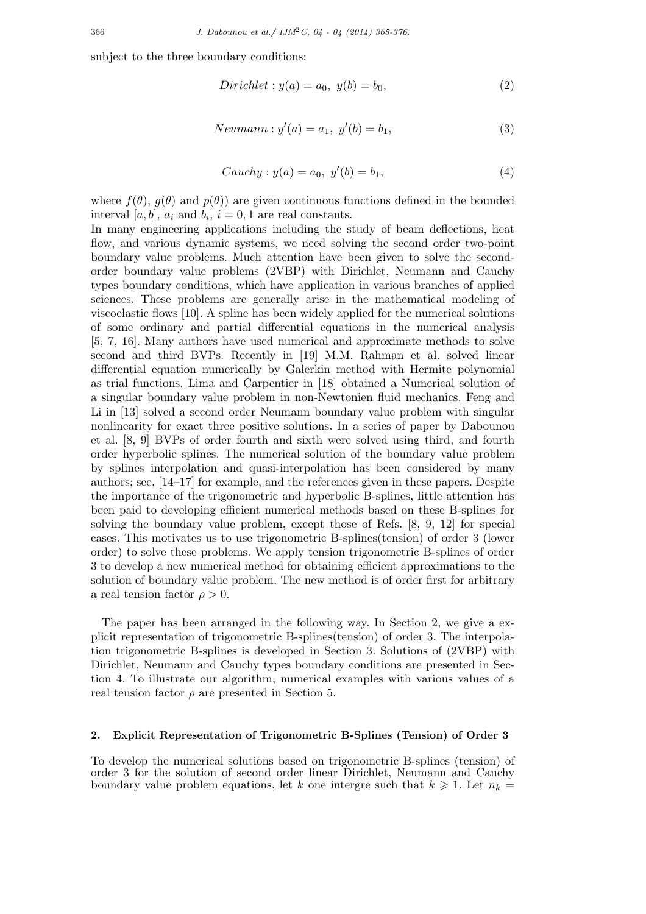subject to the three boundary conditions:

*Dirichlet* : 
$$
y(a) = a_0, y(b) = b_0,
$$
 (2)

$$
Neumann: y'(a) = a_1, y'(b) = b_1,
$$
\n(3)

$$
Cauchy: y(a) = a_0, \ y'(b) = b_1,
$$
\n(4)

where  $f(\theta)$ ,  $g(\theta)$  and  $p(\theta)$ ) are given continuous functions defined in the bounded interval [ $a, b$ ],  $a_i$  and  $b_i$ ,  $i = 0, 1$  are real constants.

In many engineering applications including the study of beam deflections, heat flow, and various dynamic systems, we need solving the second order two-point boundary value problems. Much attention have been given to solve the secondorder boundary value problems (2VBP) with Dirichlet, Neumann and Cauchy types boundary conditions, which have application in various branches of applied sciences. These problems are generally arise in the mathematical modeling of viscoelastic flows [10]. A spline has been widely applied for the numerical solutions of some ordinary and partial differential equations in the numerical analysis [5, 7, 16]. Many authors have used numerical and approximate methods to solve second and third BVPs. Recently in [19] M.M. Rahman et al. solved linear differential equation numerically by Galerkin method with Hermite polynomial as trial functions. Lima and Carpentier in [18] obtained a Numerical solution of a singular boundary value problem in non-Newtonien fluid mechanics. Feng and Li in [13] solved a second order Neumann boundary value problem with singular nonlinearity for exact three positive solutions. In a series of paper by Dabounou et al. [8, 9] BVPs of order fourth and sixth were solved using third, and fourth order hyperbolic splines. The numerical solution of the boundary value problem by splines interpolation and quasi-interpolation has been considered by many authors; see, [14–17] for example, and the references given in these papers. Despite the importance of the trigonometric and hyperbolic B-splines, little attention has been paid to developing efficient numerical methods based on these B-splines for solving the boundary value problem, except those of Refs. [8, 9, 12] for special cases. This motivates us to use trigonometric B-splines(tension) of order 3 (lower order) to solve these problems. We apply tension trigonometric B-splines of order 3 to develop a new numerical method for obtaining efficient approximations to the solution of boundary value problem. The new method is of order first for arbitrary a real tension factor  $\rho > 0$ .

The paper has been arranged in the following way. In Section 2, we give a explicit representation of trigonometric B-splines(tension) of order 3. The interpolation trigonometric B-splines is developed in Section 3. Solutions of (2VBP) with Dirichlet, Neumann and Cauchy types boundary conditions are presented in Section 4. To illustrate our algorithm, numerical examples with various values of a real tension factor  $\rho$  are presented in Section 5.

#### **2. Explicit Representation of Trigonometric B-Splines (Tension) of Order 3**

To develop the numerical solutions based on trigonometric B-splines (tension) of order 3 for the solution of second order linear Dirichlet, Neumann and Cauchy boundary value problem equations, let *k* one intergre such that  $k \geq 1$ . Let  $n_k =$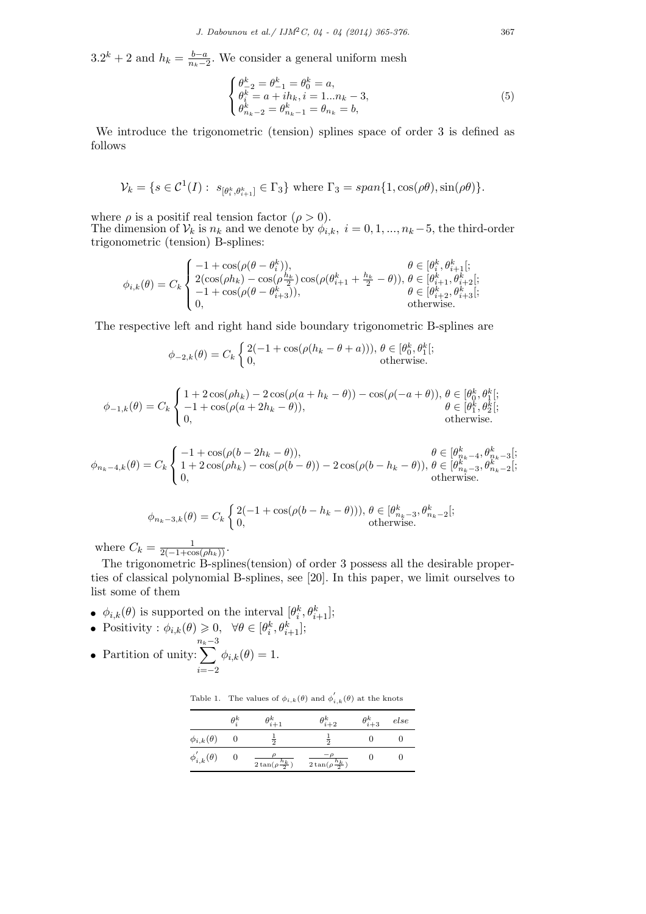$3.2^k + 2$  and  $h_k = \frac{b-a}{n_k - 2}$  $\frac{b-a}{n_k-2}$ . We consider a general uniform mesh

$$
\begin{cases}\n\theta_{-2}^{k} = \theta_{-1}^{k} = \theta_{0}^{k} = a, \\
\theta_{i}^{k} = a + ih_{k}, i = 1...n_{k} - 3, \\
\theta_{n_{k}-2}^{k} = \theta_{n_{k}-1}^{k} = \theta_{n_{k}} = b,\n\end{cases}
$$
\n(5)

We introduce the trigonometric (tension) splines space of order 3 is defined as follows

$$
\mathcal{V}_k = \{ s \in \mathcal{C}^1(I) : s_{[\theta_i^k, \theta_{i+1}^k]} \in \Gamma_3 \} \text{ where } \Gamma_3 = span\{ 1, \cos(\rho \theta), \sin(\rho \theta) \}.
$$

where  $\rho$  is a positif real tension factor ( $\rho > 0$ ).

The dimension of  $V_k$  is  $n_k$  and we denote by  $\phi_{i,k}$ ,  $i = 0, 1, ..., n_k - 5$ , the third-order trigonometric (tension) B-splines:

$$
\phi_{i,k}(\theta) = C_k \begin{cases}\n-1 + \cos(\rho(\theta - \theta_i^k)), & \theta \in [\theta_i^k, \theta_{i+1}^k]; \\
2(\cos(\rho h_k) - \cos(\rho \frac{h_k}{2})\cos(\rho(\theta_{i+1}^k + \frac{h_k}{2} - \theta)), \theta \in [\theta_{i+1}^k, \theta_{i+2}^k]; \\
-1 + \cos(\rho(\theta - \theta_{i+3}^k)), & \theta \in [\theta_{i+2}^k, \theta_{i+3}^k]; \\
0, & \text{otherwise.} \n\end{cases}
$$

The respective left and right hand side boundary trigonometric B-splines are

$$
\phi_{-2,k}(\theta) = C_k \begin{cases} 2(-1 + \cos(\rho(h_k - \theta + a))), \ \theta \in [\theta_0^k, \theta_1^k]; \\ 0, \qquad \text{otherwise.} \end{cases}
$$

$$
\phi_{-1,k}(\theta) = C_k \begin{cases} 1 + 2\cos(\rho h_k) - 2\cos(\rho(a + h_k - \theta)) - \cos(\rho(-a + \theta)), \ \theta \in [\theta_0^k, \theta_1^k]; \\ -1 + \cos(\rho(a + 2h_k - \theta)), & \ \theta \in [\theta_1^k, \theta_2^k]; \\ 0, & \text{otherwise.} \end{cases}
$$

$$
\phi_{n_k-4,k}(\theta) = C_k \begin{cases} -1 + \cos(\rho(b - 2h_k - \theta)), & \theta \in [\theta_{n_k-4}^k, \theta_{n_k-3}^k]; \\ 1 + 2\cos(\rho h_k) - \cos(\rho(b - \theta)) - 2\cos(\rho(b - h_k - \theta)), & \theta \in [\theta_{n_k-3}^k, \theta_{n_k-2}^k]; \\ 0, & \text{otherwise.} \end{cases}
$$

$$
\phi_{n_k-3,k}(\theta) = C_k \begin{cases} 2(-1+\cos(\rho(b-h_k-\theta))), \theta \in [\theta_{n_k-3}^k, \theta_{n_k-2}^k]; \\ 0, \qquad \text{otherwise.} \end{cases}
$$

where  $C_k = \frac{1}{2(-1+\cos(\rho h_k))}$ .

The trigonometric B-splines(tension) of order 3 possess all the desirable properties of classical polynomial B-splines, see [20]. In this paper, we limit ourselves to list some of them

- $\phi_{i,k}(\theta)$  is supported on the interval  $[\theta_i^k, \theta_{i+1}^k]$ ;
- Positivity :  $\phi_{i,k}(\theta) \geq 0, \quad \forall \theta \in [\theta_i^k, \theta_{i+1}^k];$
- *•* Partition of unity: *n*∑*k−*3 *i*=*−*2  $\phi_{i,k}(\theta) = 1.$

Table 1. The values of  $\phi_{i,k}(\theta)$  and  $\phi'_{i,k}(\theta)$  at the knots

|                       | $\theta_i^k$ | $\theta_{i+1}^k$                        | $\theta_{i+2}^k$                         | $\theta_{i+3}^k$ | else |
|-----------------------|--------------|-----------------------------------------|------------------------------------------|------------------|------|
| $\phi_{i,k}(\theta)$  |              | $\frac{1}{2}$                           | ㅎ                                        |                  |      |
| $\phi'_{i,k}(\theta)$ |              | $\frac{\rho}{2\tan(\rho\frac{h_k}{2})}$ | $\frac{-\rho}{2\tan(\rho\frac{h_k}{2})}$ |                  |      |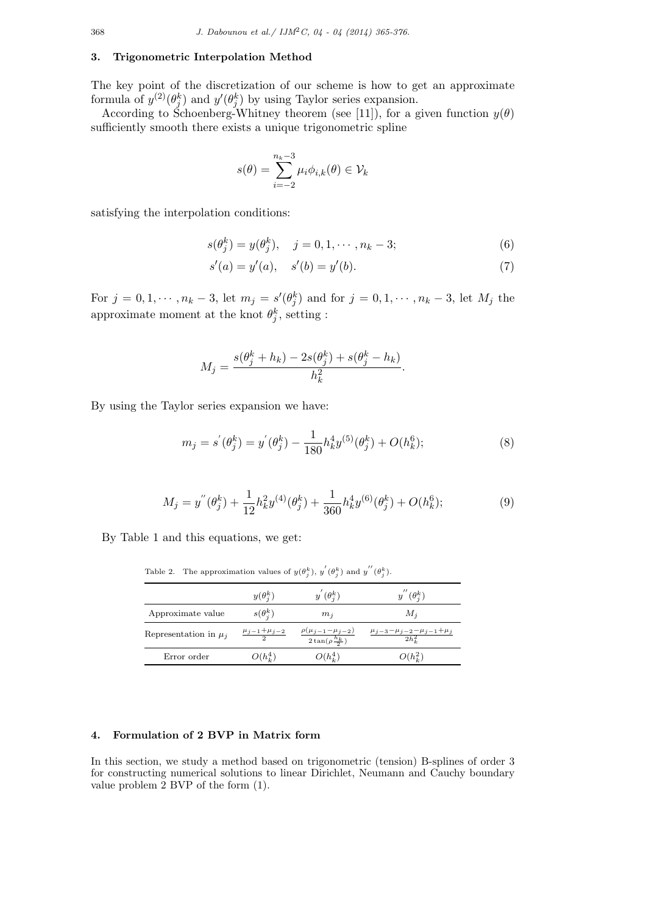#### **3. Trigonometric Interpolation Method**

The key point of the discretization of our scheme is how to get an approximate formula of  $y^{(2)}(\theta_j^k)$  and  $y'(\theta_j^k)$  by using Taylor series expansion.

According to Schoenberg-Whitney theorem (see [11]), for a given function  $y(\theta)$ sufficiently smooth there exists a unique trigonometric spline

$$
s(\theta) = \sum_{i=-2}^{n_k-3} \mu_i \phi_{i,k}(\theta) \in \mathcal{V}_k
$$

satisfying the interpolation conditions:

$$
s(\theta_j^k) = y(\theta_j^k), \quad j = 0, 1, \cdots, n_k - 3;
$$
 (6)

$$
s'(a) = y'(a), \quad s'(b) = y'(b).
$$
 (7)

For  $j = 0, 1, \dots, n_k - 3$ , let  $m_j = s'(\theta_j^k)$  and for  $j = 0, 1, \dots, n_k - 3$ , let  $M_j$  the approximate moment at the knot  $\theta_j^k$ , setting :

$$
M_j = \frac{s(\theta_j^k + h_k) - 2s(\theta_j^k) + s(\theta_j^k - h_k)}{h_k^2}.
$$

By using the Taylor series expansion we have:

$$
m_j = s'(\theta_j^k) = y'(\theta_j^k) - \frac{1}{180} h_k^4 y^{(5)}(\theta_j^k) + O(h_k^6); \tag{8}
$$

$$
M_j = y''(\theta_j^k) + \frac{1}{12}h_k^2 y^{(4)}(\theta_j^k) + \frac{1}{360}h_k^4 y^{(6)}(\theta_j^k) + O(h_k^6); \tag{9}
$$

By Table 1 and this equations, we get:

Table 2. The approximation values of  $y(\theta_j^k)$ ,  $y'(\theta_j^k)$  and  $y''(\theta_j^k)$ .

|                           | $y(\theta_i^k)$                 | $y^{'}(\theta_i^k)$                                          | $y''(\theta_i^k)$                                          |
|---------------------------|---------------------------------|--------------------------------------------------------------|------------------------------------------------------------|
| Approximate value         | $s(\theta_i^k)$                 | $m_i$                                                        | $M_i$                                                      |
| Representation in $\mu_i$ | $\frac{\mu_{j-1}+\mu_{j-2}}{2}$ | $\frac{\rho(\mu_{j-1}-\mu_{j-2})}{2\tan(\rho\frac{h_k}{2})}$ | $\frac{\mu_{j-3} - \mu_{j-2} - \mu_{j-1} + \mu_j}{2h_1^2}$ |
| Error order               | $O(h_h^4)$                      | $O(h_k^4)$                                                   | $O(h_{\mu}^2)$                                             |

## **4. Formulation of 2 BVP in Matrix form**

In this section, we study a method based on trigonometric (tension) B-splines of order 3 for constructing numerical solutions to linear Dirichlet, Neumann and Cauchy boundary value problem 2 BVP of the form (1).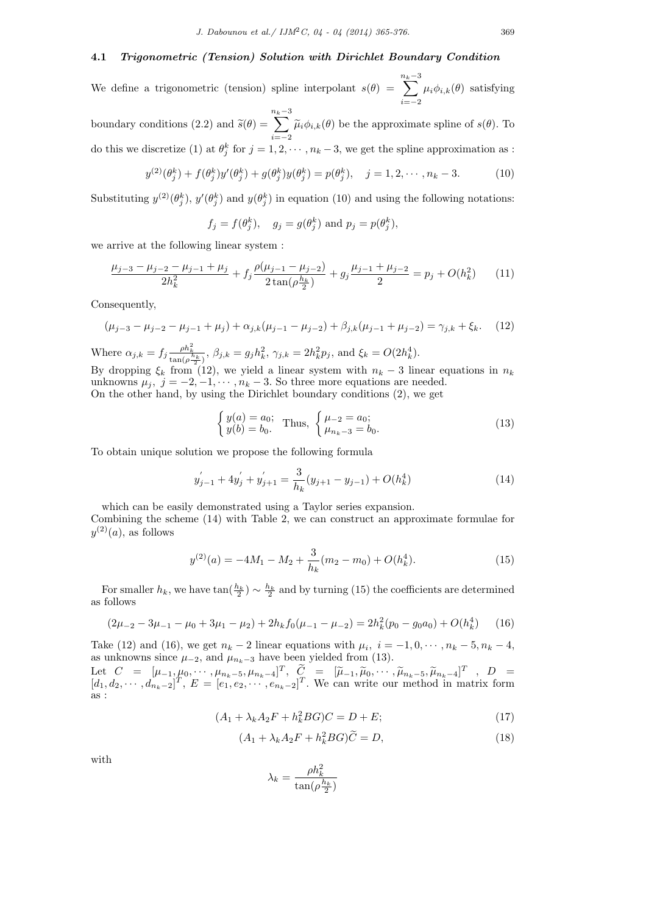#### **4.1** *Trigonometric (Tension) Solution with Dirichlet Boundary Condition*

We define a trigonometric (tension) spline interpolant  $s(\theta)$  = *n*∑*k−*3 *i*=*−*2  $\mu_i \phi_{i,k}(\theta)$  satisfying boundary conditions (2.2) and  $\tilde{s}(\theta)$  = *n*∑*k−*3  $\sum_{i=-2}^{\infty} \tilde{\mu}_i \phi_{i,k}(\theta)$  be the approximate spline of *s*( $\theta$ ). To do this we discretize (1) at  $\theta_j^k$  for  $j = 1, 2, \dots, n_k - 3$ , we get the spline approximation as :

$$
y^{(2)}(\theta_j^k) + f(\theta_j^k)y'(\theta_j^k) + g(\theta_j^k)y(\theta_j^k) = p(\theta_j^k), \quad j = 1, 2, \cdots, n_k - 3.
$$
 (10)

Substituting  $y^{(2)}(\theta_j^k)$ ,  $y'(\theta_j^k)$  and  $y(\theta_j^k)$  in equation (10) and using the following notations:

$$
f_j = f(\theta_j^k)
$$
,  $g_j = g(\theta_j^k)$  and  $p_j = p(\theta_j^k)$ ,

we arrive at the following linear system :

$$
\frac{\mu_{j-3} - \mu_{j-2} - \mu_{j-1} + \mu_j}{2h_k^2} + f_j \frac{\rho(\mu_{j-1} - \mu_{j-2})}{2\tan(\rho\frac{h_k}{2})} + g_j \frac{\mu_{j-1} + \mu_{j-2}}{2} = p_j + O(h_k^2)
$$
(11)

Consequently,

$$
(\mu_{j-3} - \mu_{j-2} - \mu_{j-1} + \mu_j) + \alpha_{j,k}(\mu_{j-1} - \mu_{j-2}) + \beta_{j,k}(\mu_{j-1} + \mu_{j-2}) = \gamma_{j,k} + \xi_k.
$$
 (12)

Where  $\alpha_{j,k} = f_j \frac{\rho h_k^2}{\tan(\rho \frac{h_k}{2})}$ ,  $\beta_{j,k} = g_j h_k^2$ ,  $\gamma_{j,k} = 2h_k^2 p_j$ , and  $\xi_k = O(2h_k^4)$ . By dropping  $\xi_k$  from (12), we yield a linear system with  $n_k - 3$  linear equations in  $n_k$ unknowns  $\mu_j$ ,  $j = -2, -1, \dots, n_k - 3$ . So three more equations are needed.

On the other hand, by using the Dirichlet boundary conditions (2), we get

$$
\begin{cases}\ny(a) = a_0; \\
y(b) = b_0.\n\end{cases} \text{ Thus, } \begin{cases}\n\mu_{-2} = a_0; \\
\mu_{n_k - 3} = b_0.\n\end{cases} \tag{13}
$$

To obtain unique solution we propose the following formula

$$
y'_{j-1} + 4y'_{j} + y'_{j+1} = \frac{3}{h_k}(y_{j+1} - y_{j-1}) + O(h_k^4)
$$
\n(14)

which can be easily demonstrated using a Taylor series expansion.

Combining the scheme (14) with Table 2, we can construct an approximate formulae for  $y^{(2)}(a)$ , as follows

$$
y^{(2)}(a) = -4M_1 - M_2 + \frac{3}{h_k}(m_2 - m_0) + O(h_k^4).
$$
 (15)

For smaller  $h_k$ , we have  $\tan(\frac{h_k}{2}) \sim \frac{h_k}{2}$  and by turning (15) the coefficients are determined as follows

$$
(2\mu_{-2} - 3\mu_{-1} - \mu_0 + 3\mu_1 - \mu_2) + 2h_k f_0(\mu_{-1} - \mu_{-2}) = 2h_k^2 (p_0 - g_0 a_0) + O(h_k^4)
$$
 (16)

Take (12) and (16), we get  $n_k - 2$  linear equations with  $\mu_i$ ,  $i = -1, 0, \dots, n_k - 5, n_k - 4$ , as unknowns since  $\mu_{-2}$ , and  $\mu_{n_k-3}$  have been yielded from (13). Let  $C = [\mu_{-1}, \mu_0, \cdots, \mu_{n_k-5}, \mu_{n_k-4}]^T$ ,  $\tilde{C} = [\tilde{\mu}_{-1}, \tilde{\mu}_0, \cdots, \tilde{\mu}_{n_k-5}, \tilde{\mu}_{n_k-4}]^T$ ,  $D = [d_1, d_0, \cdots, d_{n_k-3}]^T$   $E = [e_1, e_2, \cdots, e_{n_k-3}]^T$  We can write our method in matrix form

 $[d_1, d_2, \cdots, d_{n_k-2}]^T$ ,  $E = [e_1, e_2, \cdots, e_{n_k-2}]^T$ . We can write our method in matrix form as :

$$
(A_1 + \lambda_k A_2 F + h_k^2 BG)C = D + E;\t\t(17)
$$

$$
(A_1 + \lambda_k A_2 F + h_k^2 BG)\widetilde{C} = D,\t\t(18)
$$

with

$$
\lambda_k = \frac{\rho h_k^2}{\tan(\rho \frac{h_k}{2})}
$$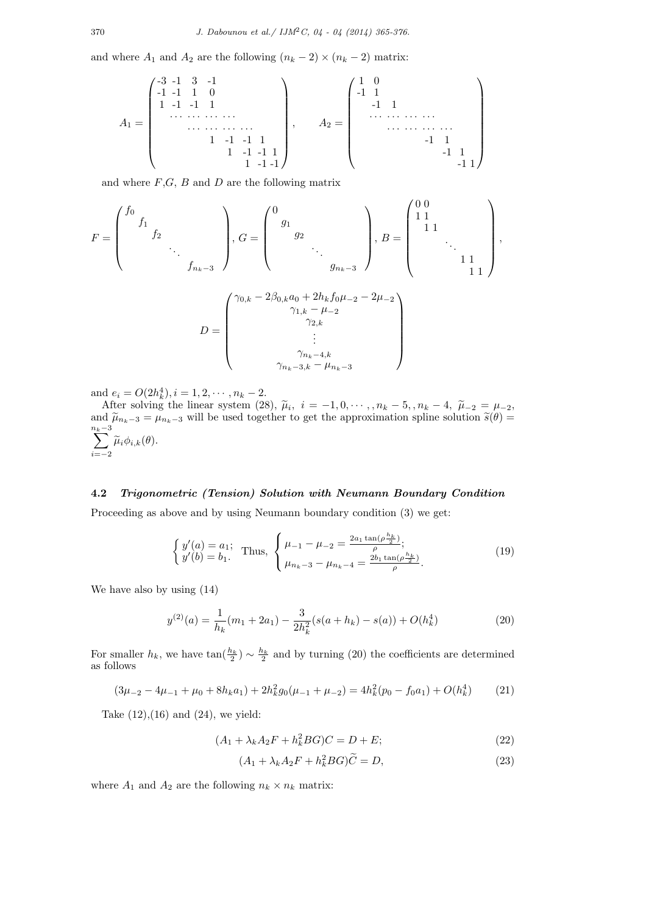and where  $A_1$  and  $A_2$  are the following  $(n_k - 2) \times (n_k - 2)$  matrix:

$$
A_1 = \begin{pmatrix} -3 & -1 & 3 & -1 & & & & \\ -1 & -1 & 1 & 0 & & & & \\ & 1 & -1 & -1 & 1 & & & & \\ & & & \cdots & \cdots & \cdots & \cdots & \\ & & & & 1 & -1 & -1 & 1 \\ & & & & & 1 & -1 & -1 \end{pmatrix}, \qquad A_2 = \begin{pmatrix} 1 & 0 & & & & & \\ -1 & 1 & & & & & \\ & -1 & 1 & & & & \\ & & \cdots & \cdots & \cdots & \cdots & \cdots & \\ & & & & & -1 & 1 & \\ & & & & & & -1 & 1 \\ & & & & & & -1 & 1 \end{pmatrix}
$$

and where *F*,*G*, *B* and *D* are the following matrix

$$
F = \begin{pmatrix} f_0 & & & & \\ & f_1 & & & \\ & & \ddots & & \\ & & & f_{n_k - 3} \end{pmatrix}, G = \begin{pmatrix} 0 & & & & \\ & g_1 & & & \\ & & g_2 & & \\ & & & \ddots & \\ & & & & g_{n_k - 3} \end{pmatrix}, B = \begin{pmatrix} 0 & 0 & & & \\ 1 & 1 & & & \\ & 1 & 1 & & \\ & & \ddots & & \\ & & & & 1 & 1 \\ & & & & & 1 \end{pmatrix},
$$

$$
D = \begin{pmatrix} \gamma_{0,k} - 2\beta_{0,k}a_0 + 2h_kf_0\mu_{-2} - 2\mu_{-2} \\ \gamma_{1,k} - \mu_{-2} \\ \gamma_{2,k} \\ \vdots \\ \gamma_{n_k - 4,k} \\ \gamma_{n_k - 3,k} - \mu_{n_k - 3} \end{pmatrix}
$$

and  $e_i = O(2h_k^4), i = 1, 2, \dots, n_k - 2$ .

After solving the linear system (28),  $\tilde{\mu}_i$ ,  $i = -1, 0, \dots, n_k - 5, n_k - 4, \tilde{\mu}_{-2} = \mu_{-2}$ ,<br>d  $\tilde{\mu}_{-2} = \mu_{-2}$ , will be used together to get the approximation spline solution  $\tilde{s}(\theta) =$ and  $\widetilde{\mu}_{n_k-3} = \mu_{n_k-3}$  will be used together to get the approximation spline solution  $\widetilde{s}(\theta) =$ <br> $n_k-3$ *n*∑*k−*3  $\sum_{i=-2}$   $\widetilde{\mu}_i \phi_{i,k}(\theta)$ .

## **4.2** *Trigonometric (Tension) Solution with Neumann Boundary Condition*

Proceeding as above and by using Neumann boundary condition (3) we get:

$$
\begin{cases}\ny'(a) = a_1; \\
y'(b) = b_1.\n\end{cases} \text{ Thus, } \begin{cases}\n\mu_{-1} - \mu_{-2} = \frac{2a_1 \tan(\rho \frac{h_k}{2})}{\rho}; \\
\mu_{n_k - 3} - \mu_{n_k - 4} = \frac{2b_1 \tan(\rho \frac{h_k}{2})}{\rho}.\n\end{cases}
$$
\n(19)

We have also by using (14)

$$
y^{(2)}(a) = \frac{1}{h_k}(m_1 + 2a_1) - \frac{3}{2h_k^2}(s(a + h_k) - s(a)) + O(h_k^4)
$$
 (20)

For smaller  $h_k$ , we have  $\tan(\frac{h_k}{2}) \sim \frac{h_k}{2}$  and by turning (20) the coefficients are determined as follows

$$
(3\mu_{-2} - 4\mu_{-1} + \mu_0 + 8h_ka_1) + 2h_k^2g_0(\mu_{-1} + \mu_{-2}) = 4h_k^2(p_0 - f_0a_1) + O(h_k^4)
$$
 (21)

Take  $(12),(16)$  and  $(24)$ , we yield:

$$
(A_1 + \lambda_k A_2 F + h_k^2 BG)C = D + E;
$$
\n(22)

$$
(A_1 + \lambda_k A_2 F + h_k^2 BG)\widetilde{C} = D,\t\t(23)
$$

where  $A_1$  and  $A_2$  are the following  $n_k \times n_k$  matrix: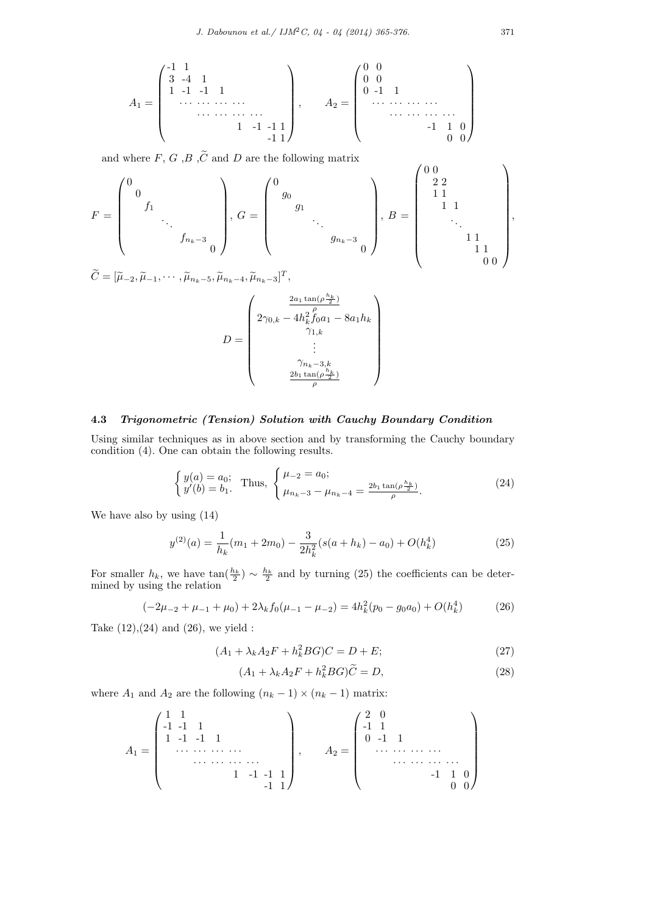$$
A_1=\begin{pmatrix} -1 & 1 & & & & & \\ 3 & -4 & 1 & & & & \\ & 1 & -1 & -1 & 1 & & \\ & & & \ddots & \ddots & \ddots & \ddots & \\ & & & & & 1 & -1 & -1 & 1 \\ & & & & & & -1 & 1 \end{pmatrix},\qquad A_2=\begin{pmatrix} 0 & 0 & & & & & \\ 0 & 0 & & & & & \\ & 0 & -1 & 1 & & & & \\ & & \ddots & \ddots & \ddots & \ddots & \ddots & \\ & & & & & -1 & 1 & 0 \\ & & & & & & 0 & 0 \end{pmatrix}
$$

and where  $F, G, B, \widetilde{C}$  and  $D$  are the following matrix

$$
F = \begin{pmatrix} 0 & & & & \\ & 0 & & & & \\ & & \ddots & & & \\ & & & \ddots & & \\ & & & & f_{n_k - 3} & \\ & & & & & 0 \end{pmatrix}, G = \begin{pmatrix} 0 & & & & & \\ & g_0 & & & & \\ & & g_1 & & & & \\ & & & \ddots & & \\ & & & & g_{n_k - 3} & \\ & & & & & 0 \end{pmatrix}, B = \begin{pmatrix} 0 & & & & & \\ & 2 & 2 & & & & \\ & 1 & 1 & & & & \\ & & 1 & 1 & & & \\ & & & & \ddots & & \\ & & & & & 1 & 1 \\ & & & & & & 0 & 0 \end{pmatrix},
$$

 $\widetilde{C} = [\widetilde{\mu}_{-2}, \widetilde{\mu}_{-1}, \cdots, \widetilde{\mu}_{n_k-5}, \widetilde{\mu}_{n_k-4}, \widetilde{\mu}_{n_k-3}]^T$ 

$$
D = \begin{pmatrix} \frac{2a_1 \tan(\rho \frac{h_k}{2})}{\rho} \\ 2\gamma_{0,k} - 4h_k^2 f_0 a_1 - 8a_1 h_k \\ \gamma_{1,k} \\ \vdots \\ \gamma_{n_k - 3,k} \\ 2b_1 \tan(\rho \frac{h_k}{2}) \\ \rho \end{pmatrix}
$$

## **4.3** *Trigonometric (Tension) Solution with Cauchy Boundary Condition*

Using similar techniques as in above section and by transforming the Cauchy boundary condition (4). One can obtain the following results.

$$
\begin{cases}\ny(a) = a_0; \\
y'(b) = b_1.\n\end{cases} \text{ Thus, } \begin{cases}\n\mu_{-2} = a_0; \\
\mu_{n_k - 3} - \mu_{n_k - 4} = \frac{2b_1 \tan(\rho \frac{h_k}{2})}{\rho}.\n\end{cases} \tag{24}
$$

We have also by using (14)

$$
y^{(2)}(a) = \frac{1}{h_k}(m_1 + 2m_0) - \frac{3}{2h_k^2}(s(a + h_k) - a_0) + O(h_k^4)
$$
\n(25)

For smaller  $h_k$ , we have  $\tan(\frac{h_k}{2}) \sim \frac{h_k}{2}$  and by turning (25) the coefficients can be determined by using the relation

$$
(-2\mu_{-2} + \mu_{-1} + \mu_0) + 2\lambda_k f_0(\mu_{-1} - \mu_{-2}) = 4h_k^2(p_0 - g_0 a_0) + O(h_k^4)
$$
 (26)

Take  $(12),(24)$  and  $(26)$ , we yield :

$$
(A_1 + \lambda_k A_2 F + h_k^2 BG)C = D + E;\t\t(27)
$$

$$
(A_1 + \lambda_k A_2 F + h_k^2 BG)\widetilde{C} = D,\t\t(28)
$$

where  $A_1$  and  $A_2$  are the following  $(n_k - 1) \times (n_k - 1)$  matrix:

$$
A_1 = \begin{pmatrix} 1 & 1 & & & & & \\ -1 & -1 & 1 & & & & & \\ & 1 & -1 & -1 & 1 & & & \\ & & & \cdots & \cdots & \cdots & \cdots & \\ & & & & & 1 & -1 & -1 & 1 \\ & & & & & & -1 & 1 \end{pmatrix}, \qquad A_2 = \begin{pmatrix} 2 & 0 & & & & & \\ -1 & 1 & & & & & & \\ & 0 & -1 & 1 & & & & \\ & & & \cdots & \cdots & \cdots & \cdots & \\ & & & & & & -1 & 1 & 0 \\ & & & & & & & 0 & 0 \end{pmatrix}
$$

 $\overline{ }$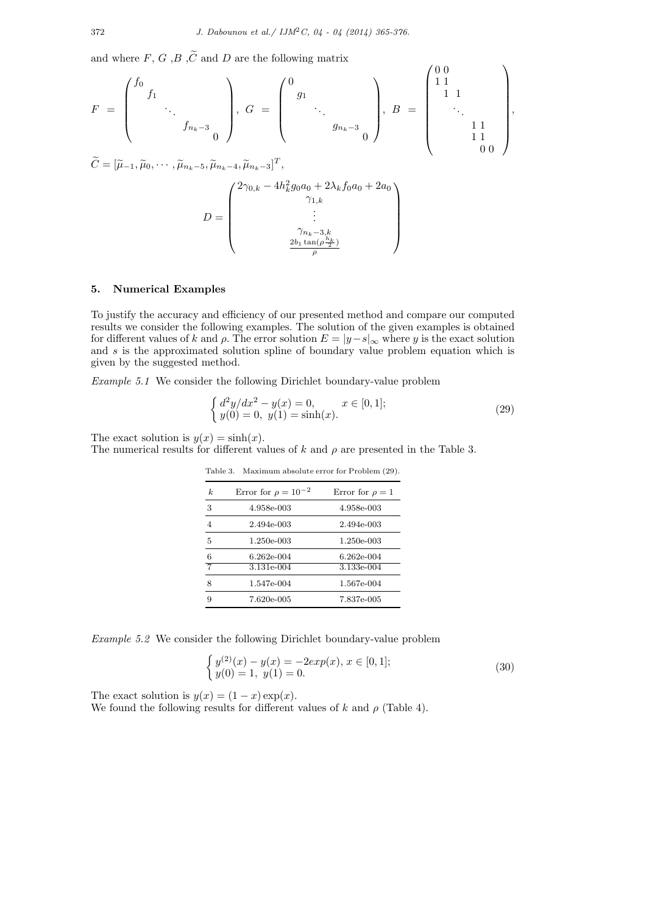and where  $F, G, B, \widetilde{C}$  and  $D$  are the following matrix

$$
F = \begin{pmatrix} f_0 & & & \\ & f_1 & & & \\ & & \ddots & & \\ & & & f_{n_k - 3} & \\ & & & & 0 \end{pmatrix}, G = \begin{pmatrix} 0 & & & \\ & g_1 & & & \\ & & \ddots & & \\ & & & g_{n_k - 3} & \\ & & & & 0 \end{pmatrix}, B = \begin{pmatrix} 0 & & & \\ & 1 & 1 & & \\ & & 1 & 1 & \\ & & & 1 & 1 \\ & & & 1 & 1 & \\ & & & 0 & 0 \end{pmatrix},
$$

$$
\widetilde{C} = [\widetilde{\mu}_{-1}, \widetilde{\mu}_0, \dots, \widetilde{\mu}_{n_k - 5}, \widetilde{\mu}_{n_k - 4}, \widetilde{\mu}_{n_k - 3}]^T,
$$

$$
D = \begin{pmatrix} 2\gamma_{0,k} - 4h_k^2 g_0 a_0 + 2\lambda_k f_0 a_0 + 2a_0 & & \\ & \gamma_{1,k} & & \\ & & \gamma_{n_k - 3,k} & \\ & & & 2h_1 \tan(\rho \frac{h_k}{2}) & \\ & & & 2h_1 \tan(\rho \frac{h_k}{2}) \end{pmatrix}
$$

)

*ρ*

#### **5. Numerical Examples**

To justify the accuracy and efficiency of our presented method and compare our computed results we consider the following examples. The solution of the given examples is obtained for different values of *k* and  $\rho$ . The error solution  $E = |y - s|_{\infty}$  where *y* is the exact solution and *s* is the approximated solution spline of boundary value problem equation which is given by the suggested method.

*Example 5.1* We consider the following Dirichlet boundary-value problem

$$
\begin{cases} d^2y/dx^2 - y(x) = 0, & x \in [0,1]; \\ y(0) = 0, \ y(1) = \sinh(x). \end{cases}
$$
\n(29)

The exact solution is  $y(x) = \sinh(x)$ .

The numerical results for different values of *k* and *ρ* are presented in the Table 3.

| $\boldsymbol{k}$ | Error for $\rho = 10^{-2}$ | Error for $\rho = 1$ |
|------------------|----------------------------|----------------------|
| 3                | 4.958e-003                 | 4.958e-003           |
| 4                | 2.494e-003                 | 2.494e-003           |
| 5                | 1.250e-003                 | 1.250e-003           |
| 6                | $6.262e-004$               | 6.262e-004           |
| $\overline{7}$   | 3.131e-004                 | 3.133e-004           |
| 8                | 1.547e-004                 | 1.567e-004           |
| 9                | 7.620e-005                 | 7.837e-005           |

Table 3. Maximum absolute error for Problem (29).

*Example 5.2* We consider the following Dirichlet boundary-value problem

$$
\begin{cases} y^{(2)}(x) - y(x) = -2exp(x), x \in [0, 1]; \\ y(0) = 1, y(1) = 0. \end{cases}
$$
\n(30)

The exact solution is  $y(x) = (1 - x) \exp(x)$ . We found the following results for different values of  $k$  and  $\rho$  (Table 4).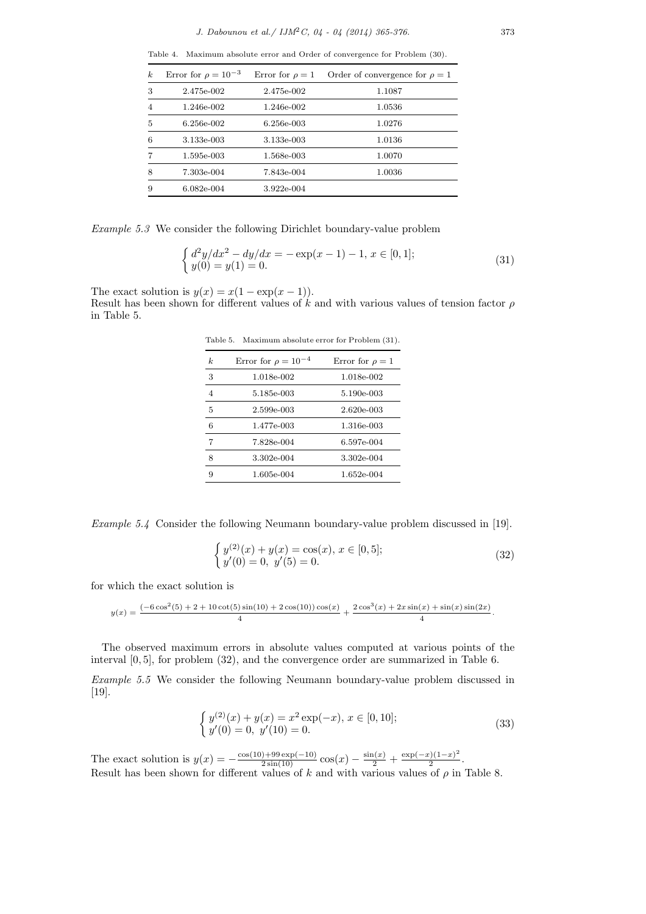Table 4. Maximum absolute error and Order of convergence for Problem (30).

| $\boldsymbol{k}$ | Error for $\rho = 10^{-3}$ | Error for $\rho = 1$ | Order of convergence for $\rho = 1$ |
|------------------|----------------------------|----------------------|-------------------------------------|
| 3                | 2.475e-002                 | 2.475e-002           | 1.1087                              |
| 4                | 1.246e-002                 | 1.246e-002           | 1.0536                              |
| 5                | 6.256e-002                 | 6.256e-003           | 1.0276                              |
| 6                | 3.133e-003                 | 3.133e-003           | 1.0136                              |
|                  | 1.595e-003                 | 1.568e-003           | 1.0070                              |
| 8                | 7.303e-004                 | 7.843e-004           | 1.0036                              |
| 9                | $6.082e-004$               | 3.922e-004           |                                     |
|                  |                            |                      |                                     |

*Example 5.3* We consider the following Dirichlet boundary-value problem

$$
\begin{cases} d^2y/dx^2 - dy/dx = -\exp(x-1) - 1, x \in [0,1]; \\ y(0) = y(1) = 0. \end{cases}
$$
\n(31)

The exact solution is  $y(x) = x(1 - \exp(x - 1))$ .

Result has been shown for different values of *k* and with various values of tension factor *ρ* in Table 5.

Table 5. Maximum absolute error for Problem (31).

| k.             | Error for $\rho = 10^{-4}$ | Error for $\rho = 1$ |
|----------------|----------------------------|----------------------|
| 3              | 1.018e-002                 | 1.018e-002           |
| $\overline{4}$ | 5.185e-003                 | 5.190e-003           |
| 5              | 2.599e-003                 | 2.620e-003           |
| 6              | 1.477e-003                 | 1.316e-003           |
| 7              | 7.828e-004                 | 6.597e-004           |
| 8              | 3.302e-004                 | 3.302e-004           |
| 9              | 1.605e-004                 | 1.652e-004           |

*Example 5.4* Consider the following Neumann boundary-value problem discussed in [19].

$$
\begin{cases} y^{(2)}(x) + y(x) = \cos(x), x \in [0, 5]; \\ y'(0) = 0, y'(5) = 0. \end{cases}
$$
 (32)

for which the exact solution is

$$
y(x) = \frac{(-6\cos^2(5) + 2 + 10\cot(5)\sin(10) + 2\cos(10))\cos(x)}{4} + \frac{2\cos^3(x) + 2x\sin(x) + \sin(x)\sin(2x)}{4}.
$$

The observed maximum errors in absolute values computed at various points of the interval [0*,* 5], for problem (32), and the convergence order are summarized in Table 6.

*Example 5.5* We consider the following Neumann boundary-value problem discussed in [19].

$$
\begin{cases} y^{(2)}(x) + y(x) = x^2 \exp(-x), x \in [0, 10]; \\ y'(0) = 0, y'(10) = 0. \end{cases}
$$
 (33)

The exact solution is  $y(x) = -\frac{\cos(10) + 99 \exp(-10)}{2 \sin(10)} \cos(x) - \frac{\sin(x)}{2} + \frac{\exp(-x)(1-x)^2}{2}$  $\frac{2^{(1-x)}}{2}$ . Result has been shown for different values of *k* and with various values of *ρ* in Table 8.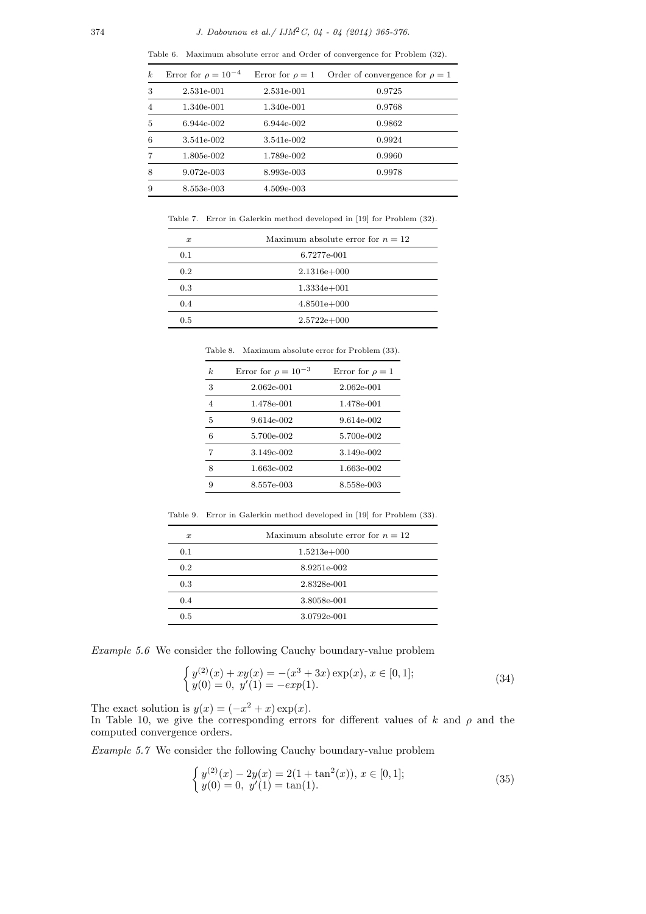Table 6. Maximum absolute error and Order of convergence for Problem (32).

| $\boldsymbol{k}$ | Error for $\rho = 10^{-4}$ | Error for $\rho = 1$ | Order of convergence for $\rho = 1$ |
|------------------|----------------------------|----------------------|-------------------------------------|
| 3                | 2.531e-001                 | 2.531e-001           | 0.9725                              |
| $\overline{4}$   | 1.340e-001                 | 1.340e-001           | 0.9768                              |
| 5                | 6.944e-002                 | 6.944e-002           | 0.9862                              |
| 6                | 3.541e-002                 | 3.541e-002           | 0.9924                              |
| 7                | 1.805e-002                 | 1.789e-002           | 0.9960                              |
| 8                | 9.072e-003                 | 8.993e-003           | 0.9978                              |
| 9                | 8.553e-003                 | 4.509e-003           |                                     |
|                  |                            |                      |                                     |

Table 7. Error in Galerkin method developed in [19] for Problem (32).

| $\boldsymbol{x}$ | Maximum absolute error for $n = 12$ |
|------------------|-------------------------------------|
| 0.1              | 6.7277e-001                         |
| 0.2              | $2.1316e + 000$                     |
| 0.3              | $1.3334e + 001$                     |
| 0.4              | $4.8501e+000$                       |
| 0.5              | $2.5722e + 000$                     |

Table 8. Maximum absolute error for Problem (33).

| k. | Error for $\rho = 10^{-3}$ | Error for $\rho = 1$ |
|----|----------------------------|----------------------|
| 3  | 2.062e-001                 | 2.062e-001           |
| 4  | 1.478e-001                 | 1.478e-001           |
| 5  | 9.614e-002                 | 9.614e-002           |
| 6  | 5.700e-002                 | 5.700e-002           |
| 7  | 3.149e-002                 | 3.149e-002           |
| 8  | 1.663e-002                 | 1.663e-002           |
| 9  | 8.557e-003                 | 8.558e-003           |

Table 9. Error in Galerkin method developed in [19] for Problem (33).

| $\boldsymbol{x}$ | Maximum absolute error for $n = 12$ |
|------------------|-------------------------------------|
| 0.1              | $1.5213e+000$                       |
| 0.2              | 8.9251e-002                         |
| 0.3              | 2.8328e-001                         |
| 0.4              | 3.8058e-001                         |
| 0.5              | 3.0792e-001                         |

*Example 5.6* We consider the following Cauchy boundary-value problem

$$
\begin{cases} y^{(2)}(x) + xy(x) = -(x^3 + 3x) \exp(x), x \in [0, 1]; \\ y(0) = 0, y'(1) = -exp(1). \end{cases}
$$
\n(34)

The exact solution is  $y(x) = (-x^2 + x) \exp(x)$ .

In Table 10, we give the corresponding errors for different values of *k* and *ρ* and the computed convergence orders.

*Example 5.7* We consider the following Cauchy boundary-value problem

$$
\begin{cases} y^{(2)}(x) - 2y(x) = 2(1 + \tan^2(x)), x \in [0, 1]; \\ y(0) = 0, y'(1) = \tan(1). \end{cases}
$$
(35)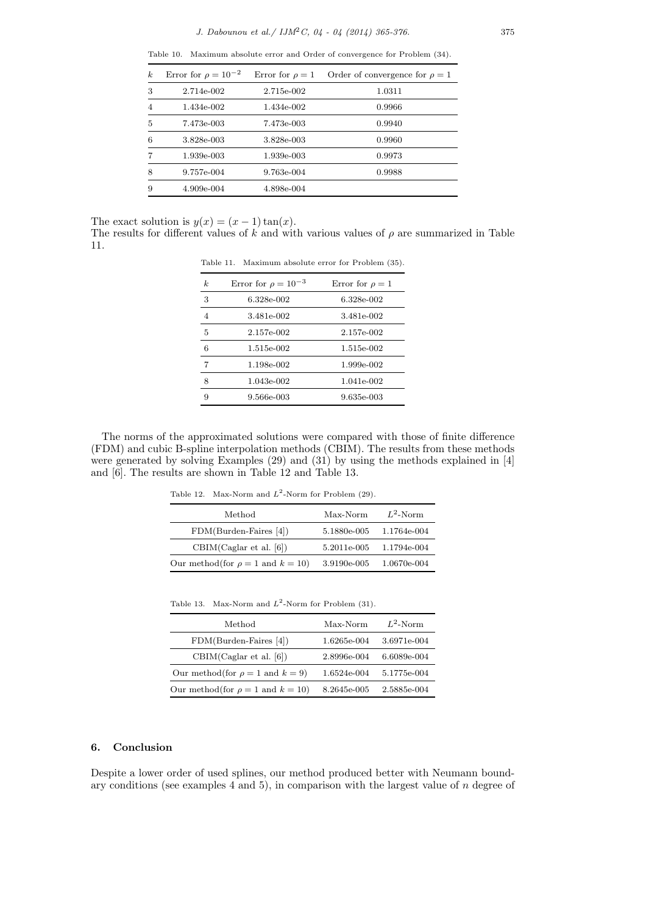Table 10. Maximum absolute error and Order of convergence for Problem (34).

| $\boldsymbol{k}$ | Error for $\rho = 10^{-2}$ | Error for $\rho = 1$ | Order of convergence for $\rho = 1$ |
|------------------|----------------------------|----------------------|-------------------------------------|
| 3                | 2.714e-002                 | 2.715e-002           | 1.0311                              |
| 4                | 1.434e-002                 | 1.434e-002           | 0.9966                              |
| 5                | 7.473e-003                 | 7.473e-003           | 0.9940                              |
| 6                | 3.828e-003                 | 3.828e-003           | 0.9960                              |
|                  | 1.939e-003                 | 1.939e-003           | 0.9973                              |
| 8                | 9.757e-004                 | 9.763e-004           | 0.9988                              |
| 9                | 4.909e-004                 | 4.898e-004           |                                     |

The exact solution is  $y(x) = (x - 1) \tan(x)$ .

The results for different values of  $k$  and with various values of  $\rho$  are summarized in Table 11.

| $\boldsymbol{k}$ | Error for $\rho = 10^{-3}$ | Error for $\rho = 1$ |
|------------------|----------------------------|----------------------|
| 3                | 6.328e-002                 | 6.328e-002           |
| $\overline{4}$   | 3.481e-002                 | 3.481e-002           |
| 5                | 2.157e-002                 | 2.157e-002           |
| 6                | 1.515e-002                 | 1.515e-002           |
| 7                | 1.198e-002                 | 1.999e-002           |
| 8                | 1.043e-002                 | 1.041e-002           |
| 9                | 9.566e-003                 | 9.635e-003           |
|                  |                            |                      |

Table 11. Maximum absolute error for Problem (35).

The norms of the approximated solutions were compared with those of finite difference (FDM) and cubic B-spline interpolation methods (CBIM). The results from these methods were generated by solving Examples (29) and (31) by using the methods explained in [4] and [6]. The results are shown in Table 12 and Table 13.

Table 12. Max-Norm and  $L^2$ -Norm for Problem (29).

| Method                                   | Max-Norm    | $L^2$ -Norm |
|------------------------------------------|-------------|-------------|
| $FDM(Burden-Faires [4])$                 | 5.1880e-005 | 1.1764e-004 |
| CBIM(Caglar et al. [6])                  | 5.2011e-005 | 1.1794e-004 |
| Our method(for $\rho = 1$ and $k = 10$ ) | 3.9190e-005 | 1.0670e-004 |

Table 13. Max-Norm and  $L^2$ -Norm for Problem  $(31)$ .

| Method                                   | Max-Norm    | $L^2$ -Norm |
|------------------------------------------|-------------|-------------|
| $FDM(Burden-Faires [4])$                 | 1.6265e-004 | 3.6971e-004 |
| CBIM(Caglar et al. [6])                  | 2.8996e-004 | 6.6089e-004 |
| Our method(for $\rho = 1$ and $k = 9$ )  | 1.6524e-004 | 5.1775e-004 |
| Our method(for $\rho = 1$ and $k = 10$ ) | 8.2645e-005 | 2.5885e-004 |

## **6. Conclusion**

Despite a lower order of used splines, our method produced better with Neumann boundary conditions (see examples 4 and 5), in comparison with the largest value of *n* degree of